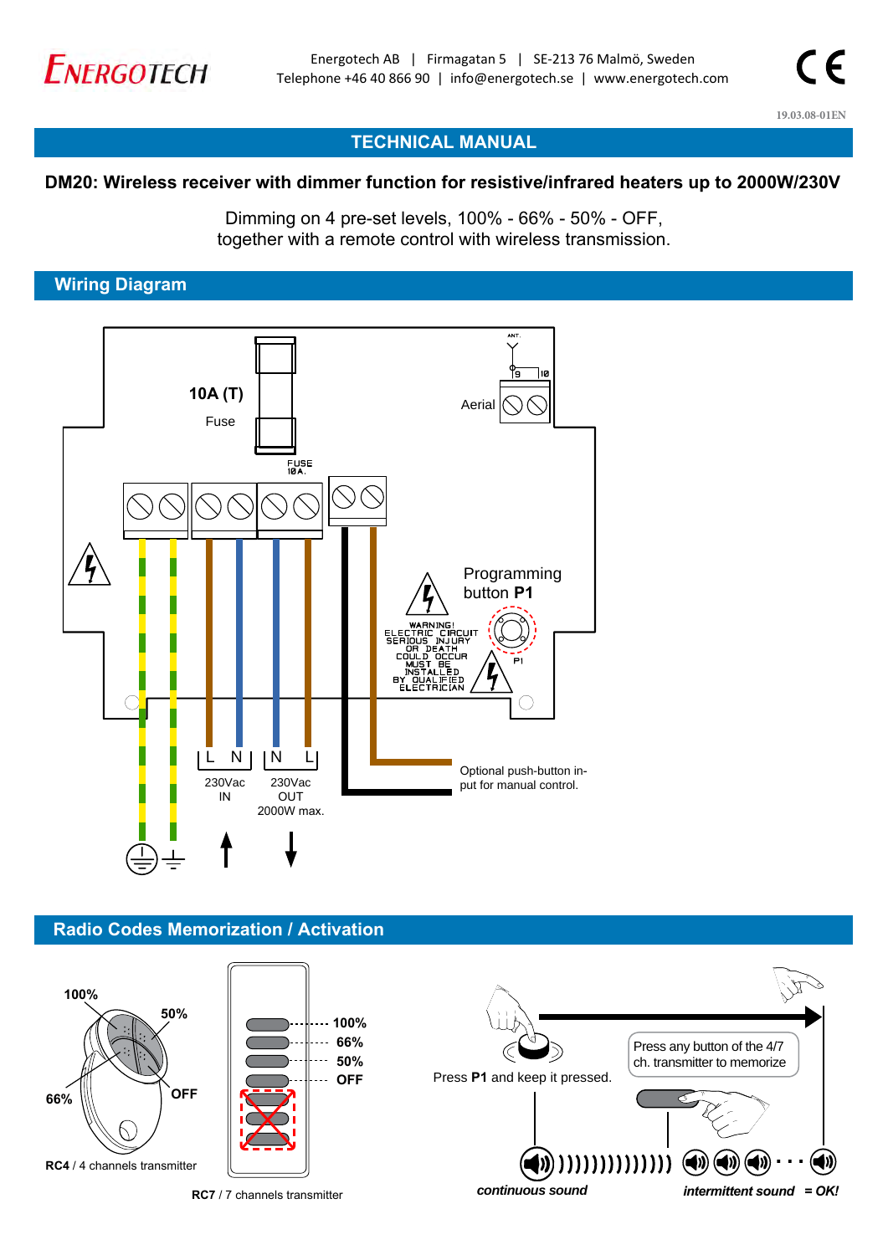

**19.03.08-01EN**

# **TECHNICAL MANUAL**

### **DM20: Wireless receiver with dimmer function for resistive/infrared heaters up to 2000W/230V**

Dimming on 4 pre-set levels, 100% - 66% - 50% - OFF, together with a remote control with wireless transmission.

### **Wiring Diagram**



### **Radio Codes Memorization / Activation**